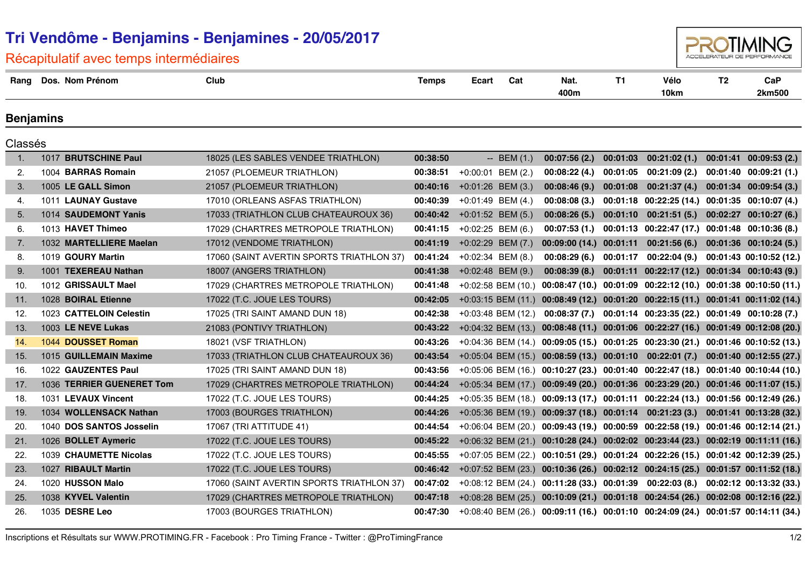| Recapitulatif avec temps intermediaires |         |                           |                                           |              |                       |                |                                                                                    |          |                                                              |    |                            |
|-----------------------------------------|---------|---------------------------|-------------------------------------------|--------------|-----------------------|----------------|------------------------------------------------------------------------------------|----------|--------------------------------------------------------------|----|----------------------------|
|                                         |         | Rang Dos. Nom Prénom      | Club                                      | <b>Temps</b> | Ecart                 | Cat            | Nat.<br>400m                                                                       | T1       | Vélo<br>10km                                                 | T2 | CaP<br>2km500              |
| Benjamins                               |         |                           |                                           |              |                       |                |                                                                                    |          |                                                              |    |                            |
|                                         | Classés |                           |                                           |              |                       |                |                                                                                    |          |                                                              |    |                            |
| $\mathbf{1}$ .                          |         | 1017 BRUTSCHINE Paul      | 18025 (LES SABLES VENDEE TRIATHLON)       | 00:38:50     |                       | $-$ BEM $(1.)$ | 00:07:56(2)                                                                        |          | $00:01:03$ $00:21:02(1)$                                     |    | $00:01:41$ $00:09:53$ (2.) |
| 2.                                      |         | 1004 BARRAS Romain        | 21057 (PLOEMEUR TRIATHLON)                | 00:38:51     | +0:00:01 BEM (2.)     |                | 00:08:22(4.)                                                                       | 00:01:05 | 00:21:09(2.)                                                 |    | 00:01:40 00:09:21 (1.)     |
| 3.                                      |         | 1005 LE GALL Simon        | 21057 (PLOEMEUR TRIATHLON)                | 00:40:16     | $+0:01:26$ BEM $(3.)$ |                | 00:08:46(9)                                                                        |          | $00:01:08$ $00:21:37(4)$                                     |    | $00:01:34$ $00:09:54$ (3.) |
| 4.                                      |         | 1011 LAUNAY Gustave       | 17010 (ORLEANS ASFAS TRIATHLON)           | 00:40:39     | $+0.01:49$ BEM (4.)   |                | 00:08:08(3)                                                                        |          | 00:01:18 00:22:25 (14.) 00:01:35 00:10:07 (4.)               |    |                            |
| 5.                                      |         | 1014 SAUDEMONT Yanis      | 17033 (TRIATHLON CLUB CHATEAUROUX 36)     | 00:40:42     | $+0:01:52$ BEM $(5.)$ |                | 00:08:26(5.)                                                                       |          | 00:01:10 00:21:51 (5.) 00:02:27 00:10:27 (6.)                |    |                            |
| 6.                                      |         | 1013 HAVET Thimeo         | 17029 (CHARTRES METROPOLE TRIATHLON)      | 00:41:15     | $+0:02:25$ BEM (6.)   |                | 00:07:53(1.)                                                                       |          | 00:01:13 00:22:47 (17.) 00:01:48 00:10:36 (8.)               |    |                            |
| 7.                                      |         | 1032 MARTELLIERE Maelan   | 17012 (VENDOME TRIATHLON)                 | 00:41:19     | $+0.02:29$ BEM (7.)   |                | $00:09:00(14.)$ $00:01:11$ $00:21:56(6.)$                                          |          |                                                              |    | $00:01:36$ $00:10:24$ (5.) |
| 8.                                      |         | 1019 GOURY Martin         | 17060 (SAINT AVERTIN SPORTS TRIATHLON 37) | 00:41:24     | $+0.02:34$ BEM $(8.)$ |                | 00:08:29(6.)                                                                       | 00:01:17 | 00:22:04 (9.)                                                |    | 00:01:43 00:10:52 (12.)    |
| 9.                                      |         | 1001 TEXEREAU Nathan      | 18007 (ANGERS TRIATHLON)                  | 00:41:38     | $+0.02:48$ BEM (9.)   |                | 00:08:39(8.)                                                                       |          | 00:01:11 00:22:17 (12.) 00:01:34 00:10:43 (9.)               |    |                            |
| 10.                                     |         | 1012 GRISSAULT Mael       | 17029 (CHARTRES METROPOLE TRIATHLON)      | 00:41:48     | $+0.02:58$ BEM (10.)  |                | 00:08:47 (10.) 00:01:09 00:22:12 (10.) 00:01:38 00:10:50 (11.)                     |          |                                                              |    |                            |
| 11.                                     |         | 1028 BOIRAL Etienne       | 17022 (T.C. JOUE LES TOURS)               | 00:42:05     |                       |                | +0:03:15 BEM (11.) 00:08:49 (12.) 00:01:20 00:22:15 (11.) 00:01:41 00:11:02 (14.)  |          |                                                              |    |                            |
| 12.                                     |         | 1023 CATTELOIN Celestin   | 17025 (TRI SAINT AMAND DUN 18)            | 00:42:38     | $+0:03:48$ BEM (12.)  |                |                                                                                    |          | 00:08:37 (7.) 00:01:14 00:23:35 (22.) 00:01:49 00:10:28 (7.) |    |                            |
| 13.                                     |         | 1003 LE NEVE Lukas        | 21083 (PONTIVY TRIATHLON)                 | 00:43:22     |                       |                | +0:04:32 BEM (13.) 00:08:48 (11.) 00:01:06 00:22:27 (16.) 00:01:49 00:12:08 (20.)  |          |                                                              |    |                            |
| 14.                                     |         | 1044 DOUSSET Roman        | 18021 (VSF TRIATHLON)                     | 00:43:26     |                       |                | +0:04:36 BEM (14.) 00:09:05 (15.) 00:01:25 00:23:30 (21.) 00:01:46 00:10:52 (13.)  |          |                                                              |    |                            |
| 15.                                     |         | 1015 GUILLEMAIN Maxime    | 17033 (TRIATHLON CLUB CHATEAUROUX 36)     | 00:43:54     |                       |                | +0:05:04 BEM (15.) 00:08:59 (13.) 00:01:10 00:22:01 (7.) 00:01:40 00:12:55 (27.)   |          |                                                              |    |                            |
| 16.                                     |         | 1022 GAUZENTES Paul       | 17025 (TRI SAINT AMAND DUN 18)            | 00:43:56     |                       |                | +0:05:06 BEM (16.) 00:10:27 (23.) 00:01:40 00:22:47 (18.) 00:01:40 00:10:44 (10.)  |          |                                                              |    |                            |
| 17.                                     |         | 1036 TERRIER GUENERET Tom | 17029 (CHARTRES METROPOLE TRIATHLON)      | 00:44:24     |                       |                | +0:05:34 BEM (17.) 00:09:49 (20.) 00:01:36 00:23:29 (20.) 00:01:46 00:11:07 (15.)  |          |                                                              |    |                            |
| 18.                                     |         | 1031 LEVAUX Vincent       | 17022 (T.C. JOUE LES TOURS)               | 00:44:25     |                       |                | +0:05:35 BEM (18.) 00:09:13 (17.) 00:01:11 00:22:24 (13.) 00:01:56 00:12:49 (26.)  |          |                                                              |    |                            |
| 19.                                     |         | 1034 WOLLENSACK Nathan    | 17003 (BOURGES TRIATHLON)                 | 00:44:26     |                       |                | +0:05:36 BEM (19.) 00:09:37 (18.) 00:01:14 00:21:23 (3.) 00:01:41 00:13:28 (32.)   |          |                                                              |    |                            |
| 20.                                     |         | 1040 DOS SANTOS Josselin  | 17067 (TRI ATTITUDE 41)                   | 00:44:54     |                       |                | +0:06:04 BEM (20.) 00:09:43 (19.) 00:00:59 00:22:58 (19.) 00:01:46 00:12:14 (21.)  |          |                                                              |    |                            |
| 21.                                     |         | 1026 BOLLET Aymeric       | 17022 (T.C. JOUE LES TOURS)               | 00:45:22     |                       |                | +0:06:32 BEM (21.) 00:10:28 (24.) 00:02:02 00:23:44 (23.) 00:02:19 00:11:11 (16.)  |          |                                                              |    |                            |
| 22.                                     |         | 1039 CHAUMETTE Nicolas    | 17022 (T.C. JOUE LES TOURS)               | 00:45:55     |                       |                | +0:07:05 BEM (22.) 00:10:51 (29.) 00:01:24 00:22:26 (15.) 00:01:42 00:12:39 (25.)  |          |                                                              |    |                            |
| 23.                                     |         | 1027 RIBAULT Martin       | 17022 (T.C. JOUE LES TOURS)               | 00:46:42     |                       |                | +0:07:52 BEM (23.) 00:10:36 (26.) 00:02:12 00:24:15 (25.) 00:01:57 00:11:52 (18.)  |          |                                                              |    |                            |
| 24.                                     |         | 1020 HUSSON Malo          | 17060 (SAINT AVERTIN SPORTS TRIATHLON 37) | 00:47:02     |                       |                | $+0.08.12$ BEM (24.) 00:11:28 (33.) 00:01:39 00:22:03 (8.) 00:02:12 00:13:32 (33.) |          |                                                              |    |                            |
| 25.                                     |         | 1038 KYVEL Valentin       | 17029 (CHARTRES METROPOLE TRIATHLON)      | 00:47:18     |                       |                | +0:08:28 BEM (25.) 00:10:09 (21.) 00:01:18 00:24:54 (26.) 00:02:08 00:12:16 (22.)  |          |                                                              |    |                            |
| 26.                                     |         | 1035 DESRE Leo            | 17003 (BOURGES TRIATHLON)                 | 00:47:30     |                       |                | +0:08:40 BEM (26.) 00:09:11 (16.) 00:01:10 00:24:09 (24.) 00:01:57 00:14:11 (34.)  |          |                                                              |    |                            |
|                                         |         |                           |                                           |              |                       |                |                                                                                    |          |                                                              |    |                            |

## **Tri Vendôme - Benjamins - Benjamines - 20/05/2017** Récapitulatif avec temps intermédiaires